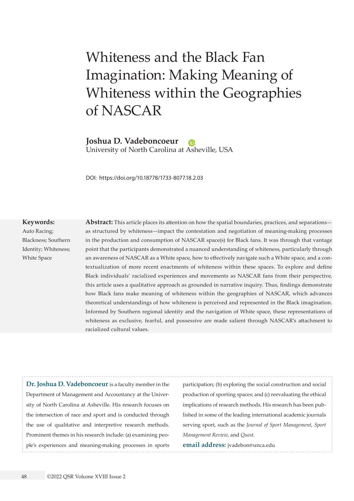# Whiteness and the Black Fan Imagination: Making Meaning of Whiteness within the Geographies of NASCAR

**Joshua D. Vadeboncoeur**

University of North Carolina at [Ash](https://orcid.org/0000-0001-8952-4510)eville, USA

DOI: <https://doi.org/10.18778/1733-8077.18.2.03>

#### **Keywords:**

Auto Racing; Blackness; Southern Identity; Whiteness; White Space

**Abstract:** This article places its attention on how the spatial boundaries, practices, and separations as structured by whiteness—impact the contestation and negotiation of meaning-making processes in the production and consumption of NASCAR space(s) for Black fans. It was through that vantage point that the participants demonstrated a nuanced understanding of whiteness, particularly through an awareness of NASCAR as a White space, how to effectively navigate such a White space, and a contextualization of more recent enactments of whiteness within these spaces. To explore and define Black individuals' racialized experiences and movements as NASCAR fans from their perspective, this article uses a qualitative approach as grounded in narrative inquiry. Thus, findings demonstrate how Black fans make meaning of whiteness within the geographies of NASCAR, which advances theoretical understandings of how whiteness is perceived and represented in the Black imagination. Informed by Southern regional identity and the navigation of White space, these representations of whiteness as exclusive, fearful, and possessive are made salient through NASCAR's attachment to racialized cultural values.

**Dr. Joshua D. Vadeboncoeur** is a faculty member in the Department of Management and Accountancy at the University of North Carolina at Asheville. His research focuses on the intersection of race and sport and is conducted through the use of qualitative and interpretive research methods. Prominent themes in his research include: (a) examining people's experiences and meaning-making processes in sports

participation; (b) exploring the social construction and social production of sporting spaces; and (c) reevaluating the ethical implications of research methods. His research has been published in some of the leading international academic journals serving sport, such as the *Journal of Sport Management*, *Sport Management Review*, and *Quest*.

**email address:** [jvadebon@unca.edu](mailto:jvadebon%40unca.edu?subject=)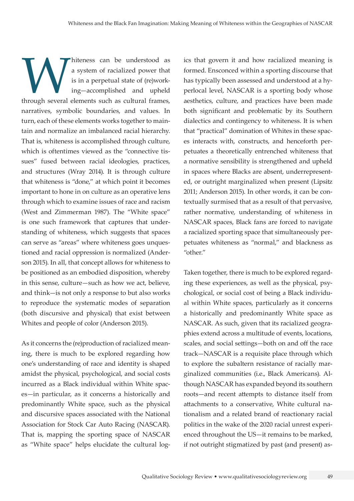whiteness can be understood as<br>
a system of racialized power that<br>
is in a perpetual state of (re)work-<br>
ing—accomplished and upheld<br>
through several elements such as cultural frames, a system of racialized power that is in a perpetual state of (re)working—accomplished and upheld narratives, symbolic boundaries, and values. In turn, each of these elements works together to maintain and normalize an imbalanced racial hierarchy. That is, whiteness is accomplished through culture, which is oftentimes viewed as the "connective tissues" fused between racial ideologies, practices, and structures (Wray 2014). It is through culture that whiteness is "done," at which point it becomes important to hone in on culture as an operative lens through which to examine issues of race and racism (West and Zimmerman 1987). The "White space" is one such framework that captures that understanding of whiteness, which suggests that spaces can serve as "areas" where whiteness goes unquestioned and racial oppression is normalized (Anderson 2015). In all, that concept allows for whiteness to be positioned as an embodied disposition, whereby in this sense, culture—such as how we act, believe, and think—is not only a response to but also works to reproduce the systematic modes of separation (both discursive and physical) that exist between Whites and people of color (Anderson 2015).

As it concerns the (re)production of racialized meaning, there is much to be explored regarding how one's understanding of race and identity is shaped amidst the physical, psychological, and social costs incurred as a Black individual within White spaces—in particular, as it concerns a historically and predominantly White space, such as the physical and discursive spaces associated with the National Association for Stock Car Auto Racing (NASCAR). That is, mapping the sporting space of NASCAR as "White space" helps elucidate the cultural logics that govern it and how racialized meaning is formed. Ensconced within a sporting discourse that has typically been assessed and understood at a hyperlocal level, NASCAR is a sporting body whose aesthetics, culture, and practices have been made both significant and problematic by its Southern dialectics and contingency to whiteness. It is when that "practical" domination of Whites in these spaces interacts with, constructs, and henceforth perpetuates a theoretically entrenched whiteness that a normative sensibility is strengthened and upheld in spaces where Blacks are absent, underrepresented, or outright marginalized when present (Lipsitz 2011; Anderson 2015). In other words, it can be contextually surmised that as a result of that pervasive, rather normative, understanding of whiteness in NASCAR spaces, Black fans are forced to navigate a racialized sporting space that simultaneously perpetuates whiteness as "normal," and blackness as "other."

Taken together, there is much to be explored regarding these experiences, as well as the physical, psychological, or social cost of being a Black individual within White spaces, particularly as it concerns a historically and predominantly White space as NASCAR. As such, given that its racialized geographies extend across a multitude of events, locations, scales, and social settings—both on and off the race track—NASCAR is a requisite place through which to explore the subaltern resistance of racially marginalized communities (i.e., Black Americans). Although NASCAR has expanded beyond its southern roots—and recent attempts to distance itself from attachments to a conservative, White cultural nationalism and a related brand of reactionary racial politics in the wake of the 2020 racial unrest experienced throughout the US—it remains to be marked, if not outright stigmatized by past (and present) as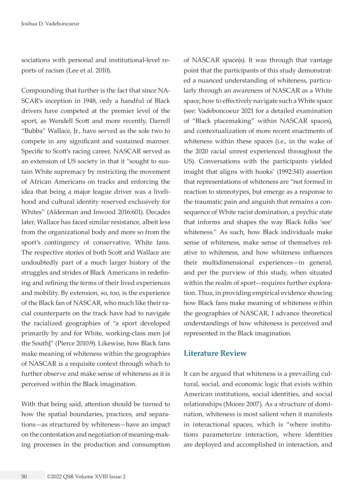sociations with personal and institutional-level reports of racism (Lee et al. 2010).

Compounding that further is the fact that since NA-SCAR's inception in 1948, only a handful of Black drivers have competed at the premier level of the sport, as Wendell Scott and more recently, Darrell "Bubba" Wallace, Jr., have served as the sole two to compete in any significant and sustained manner. Specific to Scott's racing career, NASCAR served as an extension of US society in that it "sought to sustain White supremacy by restricting the movement of African Americans on tracks and enforcing the idea that being a major league driver was a livelihood and cultural identity reserved exclusively for Whites" (Alderman and Inwood 2016:601). Decades later, Wallace has faced similar resistance, albeit less from the organizational body and more so from the sport's contingency of conservative, White fans. The respective stories of both Scott and Wallace are undoubtedly part of a much larger history of the struggles and strides of Black Americans in redefining and refining the terms of their lived experiences and mobility. By extension, so, too, is the experience of the Black fan of NASCAR, who much like their racial counterparts on the track have had to navigate the racialized geographies of "a sport developed primarily by and for White, working-class men [of the South]" (Pierce 2010:9). Likewise, how Black fans make meaning of whiteness within the geographies of NASCAR is a requisite context through which to further observe and make sense of whiteness as it is perceived within the Black imagination.

With that being said, attention should be turned to how the spatial boundaries, practices, and separations—as structured by whiteness—have an impact on the contestation and negotiation of meaning-making processes in the production and consumption of NASCAR space(s). It was through that vantage point that the participants of this study demonstrated a nuanced understanding of whiteness, particularly through an awareness of NASCAR as a White space, how to effectively navigate such a White space (see: Vadeboncoeur 2021 for a detailed examination of "Black placemaking" within NASCAR spaces), and contextualization of more recent enactments of whiteness within these spaces (i.e., in the wake of the 2020 racial unrest experienced throughout the US). Conversations with the participants yielded insight that aligns with hooks' (1992:341) assertion that representations of whiteness are "not formed in reaction to stereotypes, but emerge as a response to the traumatic pain and anguish that remains a consequence of White racist domination, a psychic state that informs and shapes the way Black folks 'see' whiteness." As such, how Black individuals make sense of whiteness, make sense of themselves relative to whiteness, and how whiteness influences their multidimensional experiences—in general, and per the purview of this study, when situated within the realm of sport—requires further exploration. Thus, in providing empirical evidence showing how Black fans make meaning of whiteness within the geographies of NASCAR, I advance theoretical understandings of how whiteness is perceived and represented in the Black imagination.

#### **Literature Review**

It can be argued that whiteness is a prevailing cultural, social, and economic logic that exists within American institutions, social identities, and social relationships (Moore 2007). As a structure of domination, whiteness is most salient when it manifests in interactional spaces, which is "where institutions parameterize interaction, where identities are deployed and accomplished in interaction, and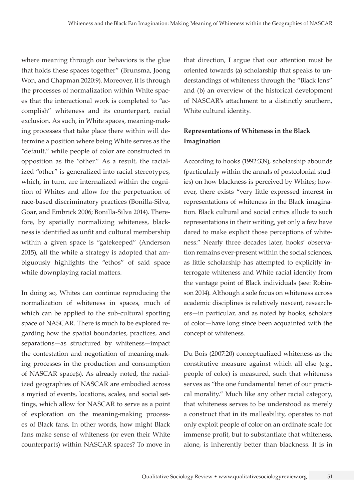where meaning through our behaviors is the glue that holds these spaces together" (Brunsma, Joong Won, and Chapman 2020:9). Moreover, it is through the processes of normalization within White spaces that the interactional work is completed to "accomplish" whiteness and its counterpart, racial exclusion. As such, in White spaces, meaning-making processes that take place there within will determine a position where being White serves as the "default," while people of color are constructed in opposition as the "other." As a result, the racialized "other" is generalized into racial stereotypes, which, in turn, are internalized within the cognition of Whites and allow for the perpetuation of race-based discriminatory practices (Bonilla-Silva, Goar, and Embrick 2006; Bonilla-Silva 2014). Therefore, by spatially normalizing whiteness, blackness is identified as unfit and cultural membership within a given space is "gatekeeped" (Anderson 2015), all the while a strategy is adopted that ambiguously highlights the "ethos" of said space while downplaying racial matters.

In doing so, Whites can continue reproducing the normalization of whiteness in spaces, much of which can be applied to the sub-cultural sporting space of NASCAR. There is much to be explored regarding how the spatial boundaries, practices, and separations—as structured by whiteness—impact the contestation and negotiation of meaning-making processes in the production and consumption of NASCAR space(s). As already noted, the racialized geographies of NASCAR are embodied across a myriad of events, locations, scales, and social settings, which allow for NASCAR to serve as a point of exploration on the meaning-making processes of Black fans. In other words, how might Black fans make sense of whiteness (or even their White counterparts) within NASCAR spaces? To move in

that direction, I argue that our attention must be oriented towards (a) scholarship that speaks to understandings of whiteness through the "Black lens" and (b) an overview of the historical development of NASCAR's attachment to a distinctly southern, White cultural identity.

## **Representations of Whiteness in the Black Imagination**

According to hooks (1992:339), scholarship abounds (particularly within the annals of postcolonial studies) on how blackness is perceived by Whites; however, there exists "very little expressed interest in representations of whiteness in the Black imagination. Black cultural and social critics allude to such representations in their writing, yet only a few have dared to make explicit those perceptions of whiteness." Nearly three decades later, hooks' observation remains ever-present within the social sciences, as little scholarship has attempted to explicitly interrogate whiteness and White racial identity from the vantage point of Black individuals (see: Robinson 2014). Although a sole focus on whiteness across academic disciplines is relatively nascent, researchers—in particular, and as noted by hooks, scholars of color—have long since been acquainted with the concept of whiteness.

Du Bois (2007:20) conceptualized whiteness as the constitutive measure against which all else (e.g., people of color) is measured, such that whiteness serves as "the one fundamental tenet of our practical morality." Much like any other racial category, that whiteness serves to be understood as merely a construct that in its malleability, operates to not only exploit people of color on an ordinate scale for immense profit, but to substantiate that whiteness, alone, is inherently better than blackness. It is in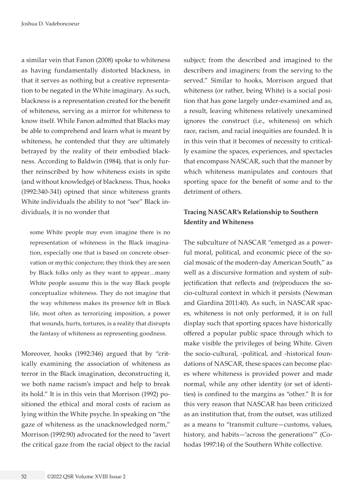a similar vein that Fanon (2008) spoke to whiteness as having fundamentally distorted blackness, in that it serves as nothing but a creative representation to be negated in the White imaginary. As such, blackness is a representation created for the benefit of whiteness, serving as a mirror for whiteness to know itself. While Fanon admitted that Blacks may be able to comprehend and learn what is meant by whiteness, he contended that they are ultimately betrayed by the reality of their embodied blackness. According to Baldwin (1984), that is only further reinscribed by how whiteness exists in spite (and without knowledge) of blackness. Thus, hooks (1992:340-341) opined that since whiteness grants White individuals the ability to not "see" Black individuals, it is no wonder that

some White people may even imagine there is no representation of whiteness in the Black imagination, especially one that is based on concrete observation or mythic conjecture; they think they are seen by Black folks only as they want to appear…many White people assume this is the way Black people conceptualize whiteness. They do not imagine that the way whiteness makes its presence felt in Black life, most often as terrorizing imposition, a power that wounds, hurts, tortures, is a reality that disrupts the fantasy of whiteness as representing goodness.

Moreover, hooks (1992:346) argued that by "critically examining the association of whiteness as terror in the Black imagination, deconstructing it, we both name racism's impact and help to break its hold." It is in this vein that Morrison (1992) positioned the ethical and moral costs of racism as lying within the White psyche. In speaking on "the gaze of whiteness as the unacknowledged norm," Morrison (1992:90) advocated for the need to "avert the critical gaze from the racial object to the racial subject; from the described and imagined to the describers and imaginers; from the serving to the served." Similar to hooks, Morrison argued that whiteness (or rather, being White) is a social position that has gone largely under-examined and as, a result, leaving whiteness relatively unexamined ignores the construct (i.e., whiteness) on which race, racism, and racial inequities are founded. It is in this vein that it becomes of necessity to critically examine the spaces, experiences, and spectacles that encompass NASCAR, such that the manner by which whiteness manipulates and contours that sporting space for the benefit of some and to the detriment of others.

# **Tracing NASCAR's Relationship to Southern Identity and Whiteness**

The subculture of NASCAR "emerged as a powerful moral, political, and economic piece of the social mosaic of the modern-day American South," as well as a discursive formation and system of subjectification that reflects and (re)produces the socio-cultural context in which it persists (Newman and Giardina 2011:40). As such, in NASCAR spaces, whiteness is not only performed, it is on full display such that sporting spaces have historically offered a popular public space through which to make visible the privileges of being White. Given the socio-cultural, -political, and -historical foundations of NASCAR, these spaces can become places where whiteness is provided power and made normal, while any other identity (or set of identities) is confined to the margins as "other." It is for this very reason that NASCAR has been criticized as an institution that, from the outset, was utilized as a means to "transmit culture—customs, values, history, and habits—'across the generations'" (Cohodas 1997:14) of the Southern White collective.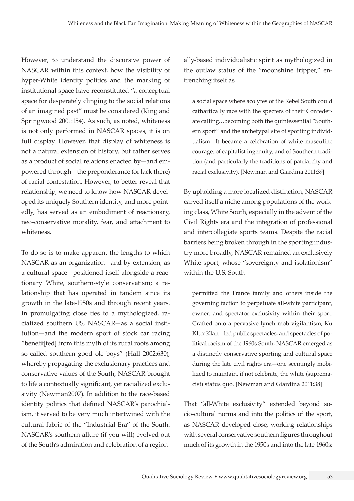However, to understand the discursive power of NASCAR within this context, how the visibility of hyper-White identity politics and the marking of institutional space have reconstituted "a conceptual space for desperately clinging to the social relations of an imagined past" must be considered (King and Springwood 2001:154). As such, as noted, whiteness is not only performed in NASCAR spaces, it is on full display. However, that display of whiteness is not a natural extension of history, but rather serves as a product of social relations enacted by—and empowered through—the preponderance (or lack there) of racial contestation. However, to better reveal that relationship, we need to know how NASCAR developed its uniquely Southern identity, and more pointedly, has served as an embodiment of reactionary, neo-conservative morality, fear, and attachment to whiteness.

To do so is to make apparent the lengths to which NASCAR as an organization—and by extension, as a cultural space—positioned itself alongside a reactionary White, southern-style conservatism; a relationship that has operated in tandem since its growth in the late-1950s and through recent years. In promulgating close ties to a mythologized, racialized southern US, NASCAR—as a social institution—and the modern sport of stock car racing "benefit[ted] from this myth of its rural roots among so-called southern good ole boys" (Hall 2002:630), whereby propagating the exclusionary practices and conservative values of the South, NASCAR brought to life a contextually significant, yet racialized exclusivity (Newman2007). In addition to the race-based identity politics that defined NASCAR's parochialism, it served to be very much intertwined with the cultural fabric of the "Industrial Era" of the South. NASCAR's southern allure (if you will) evolved out of the South's admiration and celebration of a regionally-based individualistic spirit as mythologized in the outlaw status of the "moonshine tripper," entrenching itself as

a social space where acolytes of the Rebel South could cathartically race with the specters of their Confederate calling…becoming both the quintessential "Southern sport" and the archetypal site of sporting individualism…It became a celebration of white masculine courage, of capitalist ingenuity, and of Southern tradition (and particularly the traditions of patriarchy and racial exclusivity). [Newman and Giardina 2011:39]

By upholding a more localized distinction, NASCAR carved itself a niche among populations of the working class, White South, especially in the advent of the Civil Rights era and the integration of professional and intercollegiate sports teams. Despite the racial barriers being broken through in the sporting industry more broadly, NASCAR remained an exclusively White sport, whose "sovereignty and isolationism" within the U.S. South

permitted the France family and others inside the governing faction to perpetuate all-white participant, owner, and spectator exclusivity within their sport. Grafted onto a pervasive lynch mob vigilantism, Ku Klux Klan—led public spectacles, and spectacles of political racism of the 1960s South, NASCAR emerged as a distinctly conservative sporting and cultural space during the late civil rights era—one seemingly mobilized to maintain, if not celebrate, the white (supremacist) status quo. [Newman and Giardina 2011:38]

That "all-White exclusivity" extended beyond socio-cultural norms and into the politics of the sport, as NASCAR developed close, working relationships with several conservative southern figures throughout much of its growth in the 1950s and into the late-1960s: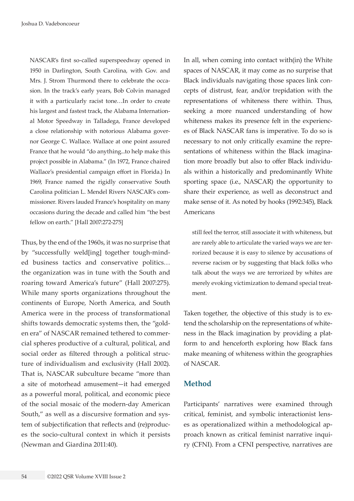NASCAR's first so-called superspeedway opened in 1950 in Darlington, South Carolina, with Gov. and Mrs. J. Strom Thurmond there to celebrate the occasion. In the track's early years, Bob Colvin managed it with a particularly racist tone…In order to create his largest and fastest track, the Alabama International Motor Speedway in Talladega, France developed a close relationship with notorious Alabama governor George C. Wallace. Wallace at one point assured France that he would "do anything...to help make this project possible in Alabama." (In 1972, France chaired Wallace's presidential campaign effort in Florida.) In 1969, France named the rigidly conservative South Carolina politician L. Mendel Rivers NASCAR's commissioner. Rivers lauded France's hospitality on many occasions during the decade and called him "the best fellow on earth." [Hall 2007:272-275]

Thus, by the end of the 1960s, it was no surprise that by "successfully weld[ing] together tough-minded business tactics and conservative politics… the organization was in tune with the South and roaring toward America's future" (Hall 2007:275). While many sports organizations throughout the continents of Europe, North America, and South America were in the process of transformational shifts towards democratic systems then, the "golden era" of NASCAR remained tethered to commercial spheres productive of a cultural, political, and social order as filtered through a political structure of individualism and exclusivity (Hall 2002). That is, NASCAR subculture became "more than a site of motorhead amusement—it had emerged as a powerful moral, political, and economic piece of the social mosaic of the modern-day American South," as well as a discursive formation and system of subjectification that reflects and (re)produces the socio-cultural context in which it persists (Newman and Giardina 2011:40).

In all, when coming into contact with(in) the White spaces of NASCAR, it may come as no surprise that Black individuals navigating those spaces link concepts of distrust, fear, and/or trepidation with the representations of whiteness there within. Thus, seeking a more nuanced understanding of how whiteness makes its presence felt in the experiences of Black NASCAR fans is imperative. To do so is necessary to not only critically examine the representations of whiteness within the Black imagination more broadly but also to offer Black individuals within a historically and predominantly White sporting space (i.e., NASCAR) the opportunity to share their experience, as well as deconstruct and make sense of it. As noted by hooks (1992:345), Black Americans

still feel the terror, still associate it with whiteness, but are rarely able to articulate the varied ways we are terrorized because it is easy to silence by accusations of reverse racism or by suggesting that black folks who talk about the ways we are terrorized by whites are merely evoking victimization to demand special treatment.

Taken together, the objective of this study is to extend the scholarship on the representations of whiteness in the Black imagination by providing a platform to and henceforth exploring how Black fans make meaning of whiteness within the geographies of NASCAR.

#### **Method**

Participants' narratives were examined through critical, feminist, and symbolic interactionist lenses as operationalized within a methodological approach known as critical feminist narrative inquiry (CFNI). From a CFNI perspective, narratives are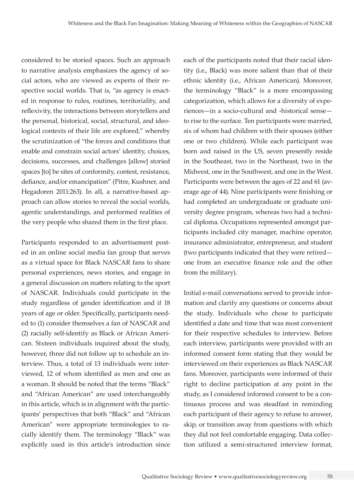considered to be storied spaces. Such an approach to narrative analysis emphasizes the agency of social actors, who are viewed as experts of their respective social worlds. That is, "as agency is enacted in response to rules, routines, territoriality, and reflexivity, the interactions between storytellers and the personal, historical, social, structural, and ideological contexts of their life are explored," whereby the scrutinization of "the forces and conditions that enable and constrain social actors' identity, choices, decisions, successes, and challenges [allow] storied spaces [to] be sites of conformity, contest, resistance, defiance, and/or emancipation" (Pitre, Kushner, and Hegadoren 2011:263). In all, a narrative-based approach can allow stories to reveal the social worlds, agentic understandings, and performed realities of the very people who shared them in the first place.

Participants responded to an advertisement posted in an online social media fan group that serves as a virtual space for Black NASCAR fans to share personal experiences, news stories, and engage in a general discussion on matters relating to the sport of NASCAR. Individuals could participate in the study regardless of gender identification and if 18 years of age or older. Specifically, participants needed to (1) consider themselves a fan of NASCAR and (2) racially self-identify as Black or African American. Sixteen individuals inquired about the study, however, three did not follow up to schedule an interview. Thus, a total of 13 individuals were interviewed, 12 of whom identified as men and one as a woman. It should be noted that the terms "Black" and "African American" are used interchangeably in this article, which is in alignment with the participants' perspectives that both "Black" and "African American" were appropriate terminologies to racially identify them. The terminology "Black" was explicitly used in this article's introduction since each of the participants noted that their racial identity (i.e., Black) was more salient than that of their ethnic identity (i.e., African American). Moreover, the terminology "Black" is a more encompassing categorization, which allows for a diversity of experiences—in a socio-cultural and -historical sense to rise to the surface. Ten participants were married, six of whom had children with their spouses (either one or two children). While each participant was born and raised in the US, seven presently reside in the Southeast, two in the Northeast, two in the Midwest, one in the Southwest, and one in the West. Participants were between the ages of 22 and 61 (average age of 44). Nine participants were finishing or had completed an undergraduate or graduate university degree program, whereas two had a technical diploma. Occupations represented amongst participants included city manager, machine operator, insurance administrator, entrepreneur, and student (two participants indicated that they were retired one from an executive finance role and the other from the military).

Initial e-mail conversations served to provide information and clarify any questions or concerns about the study. Individuals who chose to participate identified a date and time that was most convenient for their respective schedules to interview. Before each interview, participants were provided with an informed consent form stating that they would be interviewed on their experiences as Black NASCAR fans. Moreover, participants were informed of their right to decline participation at any point in the study, as I considered informed consent to be a continuous process and was steadfast in reminding each participant of their agency to refuse to answer, skip, or transition away from questions with which they did not feel comfortable engaging. Data collection utilized a semi-structured interview format,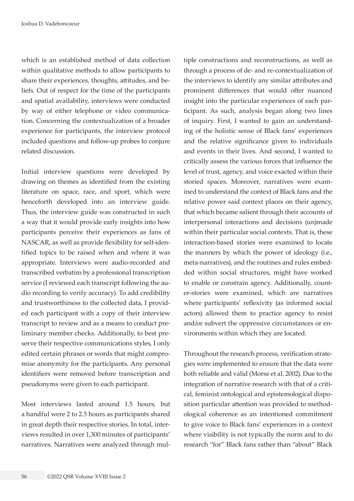which is an established method of data collection within qualitative methods to allow participants to share their experiences, thoughts, attitudes, and beliefs. Out of respect for the time of the participants and spatial availability, interviews were conducted by way of either telephone or video communication. Concerning the contextualization of a broader experience for participants, the interview protocol included questions and follow-up probes to conjure related discussion.

Initial interview questions were developed by drawing on themes as identified from the existing literature on space, race, and sport, which were henceforth developed into an interview guide. Thus, the interview guide was constructed in such a way that it would provide early insights into how participants perceive their experiences as fans of NASCAR, as well as provide flexibility for self-identified topics to be raised when and where it was appropriate. Interviews were audio-recorded and transcribed verbatim by a professional transcription service (I reviewed each transcript following the audio recording to verify accuracy). To add credibility and trustworthiness to the collected data, I provided each participant with a copy of their interview transcript to review and as a means to conduct preliminary member checks. Additionally, to best preserve their respective communications styles, I only edited certain phrases or words that might compromise anonymity for the participants. Any personal identifiers were removed before transcription and pseudonyms were given to each participant.

Most interviews lasted around 1.5 hours, but a handful were 2 to 2.5 hours as participants shared in great depth their respective stories. In total, interviews resulted in over 1,300 minutes of participants' narratives. Narratives were analyzed through mul-

tiple constructions and reconstructions, as well as through a process of de- and re-contextualization of the interviews to identify any similar attributes and prominent differences that would offer nuanced insight into the particular experiences of each participant. As such, analysis began along two lines of inquiry. First, I wanted to gain an understanding of the holistic sense of Black fans' experiences and the relative significance given to individuals and events in their lives. And second, I wanted to critically assess the various forces that influence the level of trust, agency, and voice exacted within their storied spaces. Moreover, narratives were examined to understand the context of Black fans and the relative power said context places on their agency, that which became salient through their accounts of interpersonal interactions and decisions (un)made within their particular social contexts. That is, these interaction-based stories were examined to locate the manners by which the power of ideology (i.e., meta-narratives), and the routines and rules embedded within social structures, might have worked to enable or constrain agency. Additionally, counter-stories were examined, which are narratives where participants' reflexivity (as informed social actors) allowed them to practice agency to resist and/or subvert the oppressive circumstances or environments within which they are located.

Throughout the research process, verification strategies were implemented to ensure that the data were both reliable and valid (Morse et al. 2002). Due to the integration of narrative research with that of a critical, feminist ontological and epistemological disposition particular attention was provided to methodological coherence as an intentioned commitment to give voice to Black fans' experiences in a context where visibility is not typically the norm and to do research "for" Black fans rather than "about" Black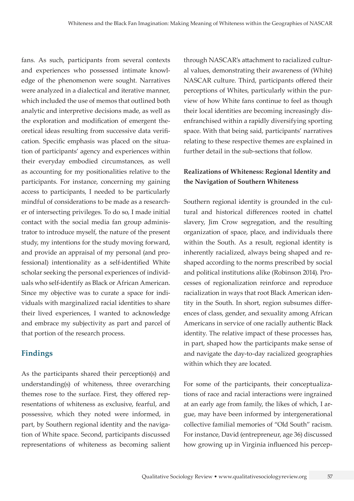fans. As such, participants from several contexts and experiences who possessed intimate knowledge of the phenomenon were sought. Narratives were analyzed in a dialectical and iterative manner, which included the use of memos that outlined both analytic and interpretive decisions made, as well as the exploration and modification of emergent theoretical ideas resulting from successive data verification. Specific emphasis was placed on the situation of participants' agency and experiences within their everyday embodied circumstances, as well as accounting for my positionalities relative to the participants. For instance, concerning my gaining access to participants, I needed to be particularly mindful of considerations to be made as a researcher of intersecting privileges. To do so, I made initial contact with the social media fan group administrator to introduce myself, the nature of the present study, my intentions for the study moving forward, and provide an appraisal of my personal (and professional) intentionality as a self-identified White scholar seeking the personal experiences of individuals who self-identify as Black or African American. Since my objective was to curate a space for individuals with marginalized racial identities to share their lived experiences, I wanted to acknowledge and embrace my subjectivity as part and parcel of that portion of the research process.

# **Findings**

As the participants shared their perception(s) and understanding(s) of whiteness, three overarching themes rose to the surface. First, they offered representations of whiteness as exclusive, fearful, and possessive, which they noted were informed, in part, by Southern regional identity and the navigation of White space. Second, participants discussed representations of whiteness as becoming salient

through NASCAR's attachment to racialized cultural values, demonstrating their awareness of (White) NASCAR culture. Third, participants offered their perceptions of Whites, particularly within the purview of how White fans continue to feel as though their local identities are becoming increasingly disenfranchised within a rapidly diversifying sporting space. With that being said, participants' narratives relating to these respective themes are explained in further detail in the sub-sections that follow.

# **Realizations of Whiteness: Regional Identity and the Navigation of Southern Whiteness**

Southern regional identity is grounded in the cultural and historical differences rooted in chattel slavery, Jim Crow segregation, and the resulting organization of space, place, and individuals there within the South. As a result, regional identity is inherently racialized, always being shaped and reshaped according to the norms prescribed by social and political institutions alike (Robinson 2014). Processes of regionalization reinforce and reproduce racialization in ways that root Black American identity in the South. In short, region subsumes differences of class, gender, and sexuality among African Americans in service of one racially authentic Black identity. The relative impact of these processes has, in part, shaped how the participants make sense of and navigate the day-to-day racialized geographies within which they are located.

For some of the participants, their conceptualizations of race and racial interactions were ingrained at an early age from family, the likes of which, I argue, may have been informed by intergenerational collective familial memories of "Old South" racism. For instance, David (entrepreneur, age 36) discussed how growing up in Virginia influenced his percep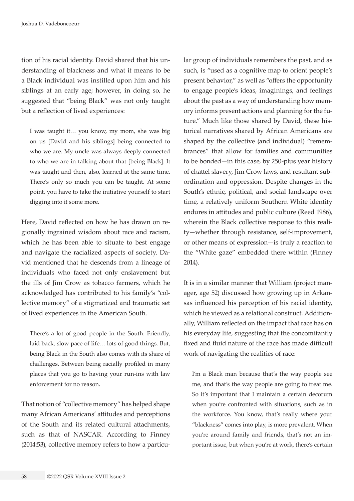tion of his racial identity. David shared that his understanding of blackness and what it means to be a Black individual was instilled upon him and his siblings at an early age; however, in doing so, he suggested that "being Black" was not only taught but a reflection of lived experiences:

I was taught it… you know, my mom, she was big on us [David and his siblings] being connected to who we are. My uncle was always deeply connected to who we are in talking about that [being Black]. It was taught and then, also, learned at the same time. There's only so much you can be taught. At some point, you have to take the initiative yourself to start digging into it some more.

Here, David reflected on how he has drawn on regionally ingrained wisdom about race and racism, which he has been able to situate to best engage and navigate the racialized aspects of society. David mentioned that he descends from a lineage of individuals who faced not only enslavement but the ills of Jim Crow as tobacco farmers, which he acknowledged has contributed to his family's "collective memory" of a stigmatized and traumatic set of lived experiences in the American South.

There's a lot of good people in the South. Friendly, laid back, slow pace of life… lots of good things. But, being Black in the South also comes with its share of challenges. Between being racially profiled in many places that you go to having your run-ins with law enforcement for no reason.

That notion of "collective memory" has helped shape many African Americans' attitudes and perceptions of the South and its related cultural attachments, such as that of NASCAR. According to Finney (2014:53), collective memory refers to how a particular group of individuals remembers the past, and as such, is "used as a cognitive map to orient people's present behavior," as well as "offers the opportunity to engage people's ideas, imaginings, and feelings about the past as a way of understanding how memory informs present actions and planning for the future." Much like those shared by David, these historical narratives shared by African Americans are shaped by the collective (and individual) "remembrances" that allow for families and communities to be bonded—in this case, by 250-plus year history of chattel slavery, Jim Crow laws, and resultant subordination and oppression. Despite changes in the South's ethnic, political, and social landscape over time, a relatively uniform Southern White identity endures in attitudes and public culture (Reed 1986), wherein the Black collective response to this reality—whether through resistance, self-improvement, or other means of expression—is truly a reaction to the "White gaze" embedded there within (Finney 2014).

It is in a similar manner that William (project manager, age 52) discussed how growing up in Arkansas influenced his perception of his racial identity, which he viewed as a relational construct. Additionally, William reflected on the impact that race has on his everyday life, suggesting that the concomitantly fixed and fluid nature of the race has made difficult work of navigating the realities of race:

I'm a Black man because that's the way people see me, and that's the way people are going to treat me. So it's important that I maintain a certain decorum when you're confronted with situations, such as in the workforce. You know, that's really where your "blackness" comes into play, is more prevalent. When you're around family and friends, that's not an important issue, but when you're at work, there's certain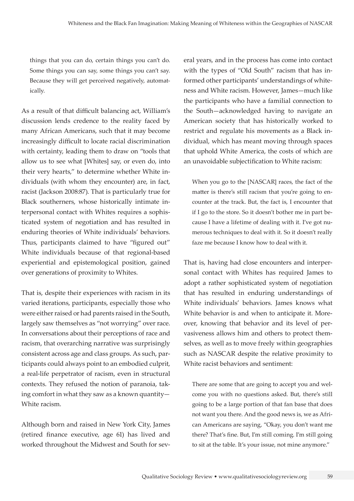things that you can do, certain things you can't do. Some things you can say, some things you can't say. Because they will get perceived negatively, automatically.

As a result of that difficult balancing act, William's discussion lends credence to the reality faced by many African Americans, such that it may become increasingly difficult to locate racial discrimination with certainty, leading them to draw on "tools that allow us to see what [Whites] say, or even do, into their very hearts," to determine whether White individuals (with whom they encounter) are, in fact, racist (Jackson 2008:87). That is particularly true for Black southerners, whose historically intimate interpersonal contact with Whites requires a sophisticated system of negotiation and has resulted in enduring theories of White individuals' behaviors. Thus, participants claimed to have "figured out" White individuals because of that regional-based experiential and epistemological position, gained over generations of proximity to Whites.

That is, despite their experiences with racism in its varied iterations, participants, especially those who were either raised or had parents raised in the South, largely saw themselves as "not worrying" over race. In conversations about their perceptions of race and racism, that overarching narrative was surprisingly consistent across age and class groups. As such, participants could always point to an embodied culprit, a real-life perpetrator of racism, even in structural contexts. They refused the notion of paranoia, taking comfort in what they saw as a known quantity— White racism.

Although born and raised in New York City, James (retired finance executive, age 61) has lived and worked throughout the Midwest and South for several years, and in the process has come into contact with the types of "Old South" racism that has informed other participants' understandings of whiteness and White racism. However, James—much like the participants who have a familial connection to the South—acknowledged having to navigate an American society that has historically worked to restrict and regulate his movements as a Black individual, which has meant moving through spaces that uphold White America, the costs of which are an unavoidable subjectification to White racism:

When you go to the [NASCAR] races, the fact of the matter is there's still racism that you're going to encounter at the track. But, the fact is, I encounter that if I go to the store. So it doesn't bother me in part because I have a lifetime of dealing with it. I've got numerous techniques to deal with it. So it doesn't really faze me because I know how to deal with it.

That is, having had close encounters and interpersonal contact with Whites has required James to adopt a rather sophisticated system of negotiation that has resulted in enduring understandings of White individuals' behaviors. James knows what White behavior is and when to anticipate it. Moreover, knowing that behavior and its level of pervasiveness allows him and others to protect themselves, as well as to move freely within geographies such as NASCAR despite the relative proximity to White racist behaviors and sentiment:

There are some that are going to accept you and welcome you with no questions asked. But, there's still going to be a large portion of that fan base that does not want you there. And the good news is, we as African Americans are saying, "Okay, you don't want me there? That's fine. But, I'm still coming. I'm still going to sit at the table. It's your issue, not mine anymore."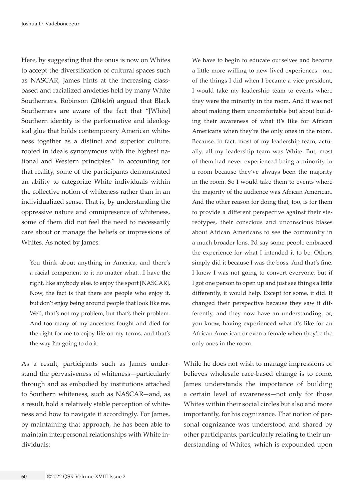Here, by suggesting that the onus is now on Whites to accept the diversification of cultural spaces such as NASCAR, James hints at the increasing classbased and racialized anxieties held by many White Southerners. Robinson (2014:16) argued that Black Southerners are aware of the fact that "[White] Southern identity is the performative and ideological glue that holds contemporary American whiteness together as a distinct and superior culture, rooted in ideals synonymous with the highest national and Western principles." In accounting for that reality, some of the participants demonstrated an ability to categorize White individuals within the collective notion of whiteness rather than in an individualized sense. That is, by understanding the oppressive nature and omnipresence of whiteness, some of them did not feel the need to necessarily care about or manage the beliefs or impressions of Whites. As noted by James:

You think about anything in America, and there's a racial component to it no matter what…I have the right, like anybody else, to enjoy the sport [NASCAR]. Now, the fact is that there are people who enjoy it, but don't enjoy being around people that look like me. Well, that's not my problem, but that's their problem. And too many of my ancestors fought and died for the right for me to enjoy life on my terms, and that's the way I'm going to do it.

As a result, participants such as James understand the pervasiveness of whiteness—particularly through and as embodied by institutions attached to Southern whiteness, such as NASCAR—and, as a result, hold a relatively stable perception of whiteness and how to navigate it accordingly. For James, by maintaining that approach, he has been able to maintain interpersonal relationships with White individuals:

We have to begin to educate ourselves and become a little more willing to new lived experiences…one of the things I did when I became a vice president, I would take my leadership team to events where they were the minority in the room. And it was not about making them uncomfortable but about building their awareness of what it's like for African Americans when they're the only ones in the room. Because, in fact, most of my leadership team, actually, all my leadership team was White. But, most of them had never experienced being a minority in a room because they've always been the majority in the room. So I would take them to events where the majority of the audience was African American. And the other reason for doing that, too, is for them to provide a different perspective against their stereotypes, their conscious and unconscious biases about African Americans to see the community in a much broader lens. I'd say some people embraced the experience for what I intended it to be. Others simply did it because I was the boss. And that's fine. I knew I was not going to convert everyone, but if I got one person to open up and just see things a little differently, it would help. Except for some, it did. It changed their perspective because they saw it differently, and they now have an understanding, or, you know, having experienced what it's like for an African American or even a female when they're the only ones in the room.

While he does not wish to manage impressions or believes wholesale race-based change is to come, James understands the importance of building a certain level of awareness—not only for those Whites within their social circles but also and more importantly, for his cognizance. That notion of personal cognizance was understood and shared by other participants, particularly relating to their understanding of Whites, which is expounded upon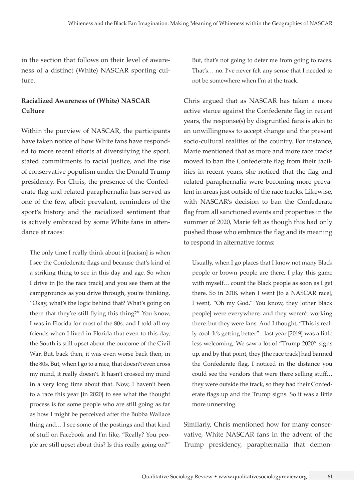in the section that follows on their level of awareness of a distinct (White) NASCAR sporting culture.

# **Racialized Awareness of (White) NASCAR Culture**

Within the purview of NASCAR, the participants have taken notice of how White fans have responded to more recent efforts at diversifying the sport, stated commitments to racial justice, and the rise of conservative populism under the Donald Trump presidency. For Chris, the presence of the Confederate flag and related paraphernalia has served as one of the few, albeit prevalent, reminders of the sport's history and the racialized sentiment that is actively embraced by some White fans in attendance at races:

The only time I really think about it [racism] is when I see the Confederate flags and because that's kind of a striking thing to see in this day and age. So when I drive in [to the race track] and you see them at the campgrounds as you drive through, you're thinking, "Okay, what's the logic behind that? What's going on there that they're still flying this thing?" You know, I was in Florida for most of the 80s, and I told all my friends when I lived in Florida that even to this day, the South is still upset about the outcome of the Civil War. But, back then, it was even worse back then, in the 80s. But, when I go to a race, that doesn't even cross my mind, it really doesn't. It hasn't crossed my mind in a very long time about that. Now, I haven't been to a race this year [in 2020] to see what the thought process is for some people who are still going as far as how I might be perceived after the Bubba Wallace thing and… I see some of the postings and that kind of stuff on Facebook and I'm like, "Really? You people are still upset about this? Is this really going on?"

But, that's not going to deter me from going to races. That's… no. I've never felt any sense that I needed to not be somewhere when I'm at the track.

Chris argued that as NASCAR has taken a more active stance against the Confederate flag in recent years, the response(s) by disgruntled fans is akin to an unwillingness to accept change and the present socio-cultural realities of the country. For instance, Marie mentioned that as more and more race tracks moved to ban the Confederate flag from their facilities in recent years, she noticed that the flag and related paraphernalia were becoming more prevalent in areas just outside of the race tracks. Likewise, with NASCAR's decision to ban the Confederate flag from all sanctioned events and properties in the summer of 2020, Marie felt as though this had only pushed those who embrace the flag and its meaning to respond in alternative forms:

Usually, when I go places that I know not many Black people or brown people are there, I play this game with myself… count the Black people as soon as I get there. So in 2018, when I went [to a NASCAR race], I went, "Oh my God." You know, they [other Black people] were everywhere, and they weren't working there, but they were fans. And I thought, "This is really cool. It's getting better"…last year [2019] was a little less welcoming. We saw a lot of "Trump 2020" signs up, and by that point, they [the race track] had banned the Confederate flag. I noticed in the distance you could see the vendors that were there selling stuff… they were outside the track, so they had their Confederate flags up and the Trump signs. So it was a little more unnerving.

Similarly, Chris mentioned how for many conservative, White NASCAR fans in the advent of the Trump presidency, paraphernalia that demon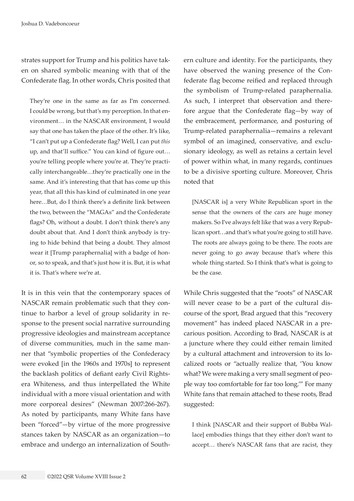strates support for Trump and his politics have taken on shared symbolic meaning with that of the Confederate flag. In other words, Chris posited that

They're one in the same as far as I'm concerned. I could be wrong, but that's my perception. In that environment… in the NASCAR environment, I would say that one has taken the place of the other. It's like, "I can't put up a Confederate flag? Well, I can put *this* up, and that'll suffice." You can kind of figure out… you're telling people where you're at. They're practically interchangeable…they're practically one in the same. And it's interesting that that has come up this year, that all this has kind of culminated in one year here…But, do I think there's a definite link between the two, between the "MAGAs" and the Confederate flags? Oh, without a doubt. I don't think there's any doubt about that. And I don't think anybody is trying to hide behind that being a doubt. They almost wear it [Trump paraphernalia] with a badge of honor, so to speak, and that's just how it is. But, it is what it is. That's where we're at.

It is in this vein that the contemporary spaces of NASCAR remain problematic such that they continue to harbor a level of group solidarity in response to the present social narrative surrounding progressive ideologies and mainstream acceptance of diverse communities, much in the same manner that "symbolic properties of the Confederacy were evoked [in the 1960s and 1970s] to represent the backlash politics of defiant early Civil Rightsera Whiteness, and thus interpellated the White individual with a more visual orientation and with more corporeal desires" (Newman 2007:266-267). As noted by participants, many White fans have been "forced"—by virtue of the more progressive stances taken by NASCAR as an organization—to embrace and undergo an internalization of Southern culture and identity. For the participants, they have observed the waning presence of the Confederate flag become reified and replaced through the symbolism of Trump-related paraphernalia. As such, I interpret that observation and therefore argue that the Confederate flag—by way of the embracement, performance, and posturing of Trump-related paraphernalia—remains a relevant symbol of an imagined, conservative, and exclusionary ideology, as well as retains a certain level of power within what, in many regards, continues to be a divisive sporting culture. Moreover, Chris noted that

[NASCAR is] a very White Republican sport in the sense that the owners of the cars are huge money makers. So I've always felt like that was a very Republican sport…and that's what you're going to still have. The roots are always going to be there. The roots are never going to go away because that's where this whole thing started. So I think that's what is going to be the case.

While Chris suggested that the "roots" of NASCAR will never cease to be a part of the cultural discourse of the sport, Brad argued that this "recovery movement" has indeed placed NASCAR in a precarious position. According to Brad, NASCAR is at a juncture where they could either remain limited by a cultural attachment and introversion to its localized roots or "actually realize that, 'You know what? We were making a very small segment of people way too comfortable for far too long.'" For many White fans that remain attached to these roots, Brad suggested:

I think [NASCAR and their support of Bubba Wallace] embodies things that they either don't want to accept… there's NASCAR fans that are racist, they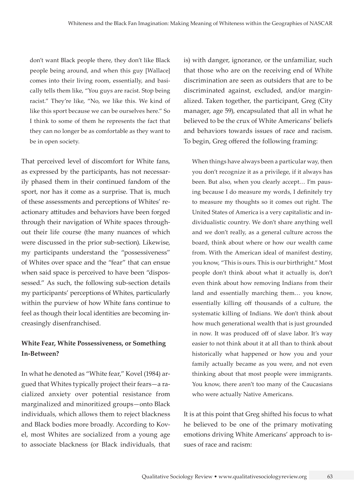don't want Black people there, they don't like Black people being around, and when this guy [Wallace] comes into their living room, essentially, and basically tells them like, "You guys are racist. Stop being racist." They're like, "No, we like this. We kind of like this sport because we can be ourselves here." So I think to some of them he represents the fact that they can no longer be as comfortable as they want to be in open society.

That perceived level of discomfort for White fans, as expressed by the participants, has not necessarily phased them in their continued fandom of the sport, nor has it come as a surprise. That is, much of these assessments and perceptions of Whites' reactionary attitudes and behaviors have been forged through their navigation of White spaces throughout their life course (the many nuances of which were discussed in the prior sub-section). Likewise, my participants understand the "possessiveness" of Whites over space and the "fear" that can ensue when said space is perceived to have been "dispossessed." As such, the following sub-section details my participants' perceptions of Whites, particularly within the purview of how White fans continue to feel as though their local identities are becoming increasingly disenfranchised.

# **White Fear, White Possessiveness, or Something In-Between?**

In what he denoted as "White fear," Kovel (1984) argued that Whites typically project their fears—a racialized anxiety over potential resistance from marginalized and minoritized groups—onto Black individuals, which allows them to reject blackness and Black bodies more broadly. According to Kovel, most Whites are socialized from a young age to associate blackness (or Black individuals, that is) with danger, ignorance, or the unfamiliar, such that those who are on the receiving end of White discrimination are seen as outsiders that are to be discriminated against, excluded, and/or marginalized. Taken together, the participant, Greg (City manager, age 59), encapsulated that all in what he believed to be the crux of White Americans' beliefs and behaviors towards issues of race and racism. To begin, Greg offered the following framing:

When things have always been a particular way, then you don't recognize it as a privilege, if it always has been. But also, when you clearly accept… I'm pausing because I do measure my words, I definitely try to measure my thoughts so it comes out right. The United States of America is a very capitalistic and individualistic country. We don't share anything well and we don't really, as a general culture across the board, think about where or how our wealth came from. With the American ideal of manifest destiny, you know, "This is ours. This is our birthright." Most people don't think about what it actually is, don't even think about how removing Indians from their land and essentially marching them… you know, essentially killing off thousands of a culture, the systematic killing of Indians. We don't think about how much generational wealth that is just grounded in now. It was produced off of slave labor. It's way easier to not think about it at all than to think about historically what happened or how you and your family actually became as you were, and not even thinking about that most people were immigrants. You know, there aren't too many of the Caucasians who were actually Native Americans.

It is at this point that Greg shifted his focus to what he believed to be one of the primary motivating emotions driving White Americans' approach to issues of race and racism: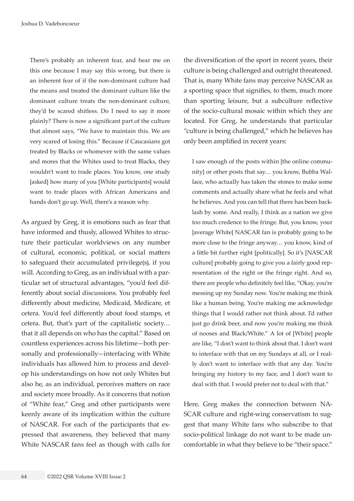There's probably an inherent fear, and hear me on this one because I may say this wrong, but there is an inherent fear of if the non-dominant culture had the means and treated the dominant culture like the dominant culture treats the non-dominant culture, they'd be scared shitless. Do I need to say it more plainly? There is now a significant part of the culture that almost says, "We have to maintain this. We are very scared of losing this." Because if Caucasians got treated by Blacks or whomever with the same values and mores that the Whites used to treat Blacks, they wouldn't want to trade places. You know, one study [asked] how many of you [White participants] would want to trade places with African Americans and hands don't go up. Well, there's a reason why.

As argued by Greg, it is emotions such as fear that have informed and thusly, allowed Whites to structure their particular worldviews on any number of cultural, economic, political, or social matters to safeguard their accumulated privilege(s), if you will. According to Greg, as an individual with a particular set of structural advantages, "you'd feel differently about social discussions. You probably feel differently about medicine, Medicaid, Medicare, et cetera. You'd feel differently about food stamps, et cetera. But, that's part of the capitalistic society… that it all depends on who has the capital." Based on countless experiences across his lifetime—both personally and professionally—interfacing with White individuals has allowed him to process and develop his understandings on how not only Whites but also he, as an individual, perceives matters on race and society more broadly. As it concerns that notion of "White fear," Greg and other participants were keenly aware of its implication within the culture of NASCAR. For each of the participants that expressed that awareness, they believed that many White NASCAR fans feel as though with calls for

64 ©2022 QSR Volume XVIII Issue 2

the diversification of the sport in recent years, their culture is being challenged and outright threatened. That is, many White fans may perceive NASCAR as a sporting space that signifies, to them, much more than sporting leisure, but a subculture reflective of the socio-cultural mosaic within which they are located. For Greg, he understands that particular "culture is being challenged," which he believes has only been amplified in recent years:

I saw enough of the posts within [the online community] or other posts that say… you know, Bubba Wallace, who actually has taken the stones to make some comments and actually share what he feels and what he believes. And you can tell that there has been backlash by some. And really, I think as a nation we give too much credence to the fringe. But, you know, your [average White] NASCAR fan is probably going to be more close to the fringe anyway… you know, kind of a little bit further right [politically]. So it's [NASCAR culture] probably going to give you a fairly good representation of the right or the fringe right. And so, there are people who definitely feel like, "Okay, you're messing up my Sunday now. You're making me think like a human being. You're making me acknowledge things that I would rather not think about. I'd rather just go drink beer, and now you're making me think of nooses and Black/White." A lot of [White] people are like, "I don't want to think about that. I don't want to interface with that on my Sundays at all, or I really don't want to interface with that any day. You're bringing my history to my face, and I don't want to deal with that. I would prefer not to deal with that."

Here, Greg makes the connection between NA-SCAR culture and right-wing conservatism to suggest that many White fans who subscribe to that socio-political linkage do not want to be made uncomfortable in what they believe to be "their space."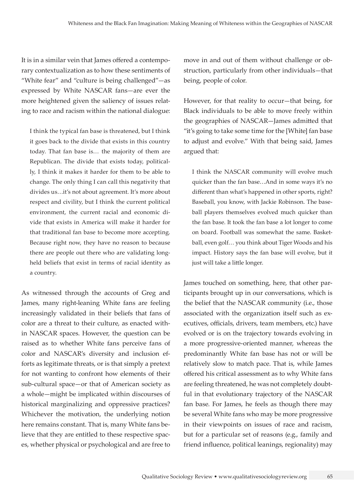It is in a similar vein that James offered a contemporary contextualization as to how these sentiments of "White fear" and "culture is being challenged"—as expressed by White NASCAR fans—are ever the more heightened given the saliency of issues relating to race and racism within the national dialogue:

I think the typical fan base is threatened, but I think it goes back to the divide that exists in this country today. That fan base is… the majority of them are Republican. The divide that exists today, politically, I think it makes it harder for them to be able to change. The only thing I can call this negativity that divides us…it's not about agreement. It's more about respect and civility, but I think the current political environment, the current racial and economic divide that exists in America will make it harder for that traditional fan base to become more accepting. Because right now, they have no reason to because there are people out there who are validating longheld beliefs that exist in terms of racial identity as a country.

As witnessed through the accounts of Greg and James, many right-leaning White fans are feeling increasingly validated in their beliefs that fans of color are a threat to their culture, as enacted within NASCAR spaces. However, the question can be raised as to whether White fans perceive fans of color and NASCAR's diversity and inclusion efforts as legitimate threats, or is that simply a pretext for not wanting to confront how elements of their sub-cultural space—or that of American society as a whole—might be implicated within discourses of historical marginalizing and oppressive practices? Whichever the motivation, the underlying notion here remains constant. That is, many White fans believe that they are entitled to these respective spaces, whether physical or psychological and are free to move in and out of them without challenge or obstruction, particularly from other individuals—that being, people of color.

However, for that reality to occur—that being, for Black individuals to be able to move freely within the geographies of NASCAR—James admitted that "it's going to take some time for the [White] fan base to adjust and evolve." With that being said, James argued that:

I think the NASCAR community will evolve much quicker than the fan base…And in some ways it's no different than what's happened in other sports, right? Baseball, you know, with Jackie Robinson. The baseball players themselves evolved much quicker than the fan base. It took the fan base a lot longer to come on board. Football was somewhat the same. Basketball, even golf… you think about Tiger Woods and his impact. History says the fan base will evolve, but it just will take a little longer.

James touched on something, here, that other participants brought up in our conversations, which is the belief that the NASCAR community (i.e., those associated with the organization itself such as executives, officials, drivers, team members, etc.) have evolved or is on the trajectory towards evolving in a more progressive-oriented manner, whereas the predominantly White fan base has not or will be relatively slow to match pace. That is, while James offered his critical assessment as to why White fans are feeling threatened, he was not completely doubtful in that evolutionary trajectory of the NASCAR fan base. For James, he feels as though there may be several White fans who may be more progressive in their viewpoints on issues of race and racism, but for a particular set of reasons (e.g., family and friend influence, political leanings, regionality) may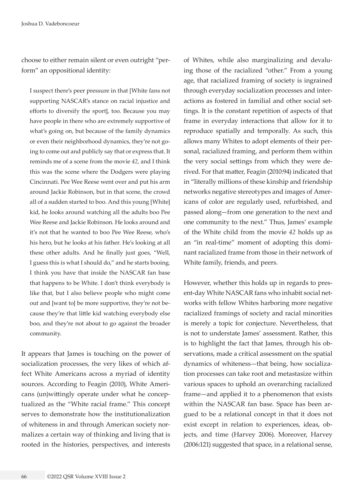choose to either remain silent or even outright "perform" an oppositional identity:

I suspect there's peer pressure in that [White fans not supporting NASCAR's stance on racial injustice and efforts to diversify the sport], too. Because you may have people in there who are extremely supportive of what's going on, but because of the family dynamics or even their neighborhood dynamics, they're not going to come out and publicly say that or express that. It reminds me of a scene from the movie *42*, and I think this was the scene where the Dodgers were playing Cincinnati. Pee Wee Reese went over and put his arm around Jackie Robinson, but in that scene, the crowd all of a sudden started to boo. And this young [White] kid, he looks around watching all the adults boo Pee Wee Reese and Jackie Robinson. He looks around and it's not that he wanted to boo Pee Wee Reese, who's his hero, but he looks at his father. He's looking at all these other adults. And he finally just goes, "Well, I guess this is what I should do," and he starts booing. I think you have that inside the NASCAR fan base that happens to be White. I don't think everybody is like that, but I also believe people who might come out and [want to] be more supportive, they're not because they're that little kid watching everybody else boo, and they're not about to go against the broader community.

It appears that James is touching on the power of socialization processes, the very likes of which affect White Americans across a myriad of identity sources. According to Feagin (2010), White Americans (un)wittingly operate under what he conceptualized as the "White racial frame." This concept serves to demonstrate how the institutionalization of whiteness in and through American society normalizes a certain way of thinking and living that is rooted in the histories, perspectives, and interests of Whites, while also marginalizing and devaluing those of the racialized "other." From a young age, that racialized framing of society is ingrained through everyday socialization processes and interactions as fostered in familial and other social settings. It is the constant repetition of aspects of that frame in everyday interactions that allow for it to reproduce spatially and temporally. As such, this allows many Whites to adopt elements of their personal, racialized framing, and perform them within the very social settings from which they were derived. For that matter, Feagin (2010:94) indicated that in "literally millions of these kinship and friendship networks negative stereotypes and images of Americans of color are regularly used, refurbished, and passed along—from one generation to the next and one community to the next." Thus, James' example of the White child from the movie *42* holds up as an "in real-time" moment of adopting this dominant racialized frame from those in their network of White family, friends, and peers.

However, whether this holds up in regards to present-day White NASCAR fans who inhabit social networks with fellow Whites harboring more negative racialized framings of society and racial minorities is merely a topic for conjecture. Nevertheless, that is not to understate James' assessment. Rather, this is to highlight the fact that James, through his observations, made a critical assessment on the spatial dynamics of whiteness—that being, how socialization processes can take root and metastasize within various spaces to uphold an overarching racialized frame—and applied it to a phenomenon that exists within the NASCAR fan base. Space has been argued to be a relational concept in that it does not exist except in relation to experiences, ideas, objects, and time (Harvey 2006). Moreover, Harvey (2006:121) suggested that space, in a relational sense,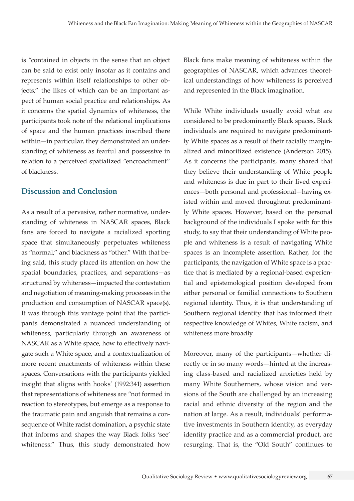is "contained in objects in the sense that an object can be said to exist only insofar as it contains and represents within itself relationships to other objects," the likes of which can be an important aspect of human social practice and relationships. As it concerns the spatial dynamics of whiteness, the participants took note of the relational implications of space and the human practices inscribed there within—in particular, they demonstrated an understanding of whiteness as fearful and possessive in relation to a perceived spatialized "encroachment" of blackness.

#### **Discussion and Conclusion**

As a result of a pervasive, rather normative, understanding of whiteness in NASCAR spaces, Black fans are forced to navigate a racialized sporting space that simultaneously perpetuates whiteness as "normal," and blackness as "other." With that being said, this study placed its attention on how the spatial boundaries, practices, and separations—as structured by whiteness—impacted the contestation and negotiation of meaning-making processes in the production and consumption of NASCAR space(s). It was through this vantage point that the participants demonstrated a nuanced understanding of whiteness, particularly through an awareness of NASCAR as a White space, how to effectively navigate such a White space, and a contextualization of more recent enactments of whiteness within these spaces. Conversations with the participants yielded insight that aligns with hooks' (1992:341) assertion that representations of whiteness are "not formed in reaction to stereotypes, but emerge as a response to the traumatic pain and anguish that remains a consequence of White racist domination, a psychic state that informs and shapes the way Black folks 'see' whiteness." Thus, this study demonstrated how

Black fans make meaning of whiteness within the geographies of NASCAR, which advances theoretical understandings of how whiteness is perceived and represented in the Black imagination.

While White individuals usually avoid what are considered to be predominantly Black spaces, Black individuals are required to navigate predominantly White spaces as a result of their racially marginalized and minoritized existence (Anderson 2015). As it concerns the participants, many shared that they believe their understanding of White people and whiteness is due in part to their lived experiences—both personal and professional—having existed within and moved throughout predominantly White spaces. However, based on the personal background of the individuals I spoke with for this study, to say that their understanding of White people and whiteness is a result of navigating White spaces is an incomplete assertion. Rather, for the participants, the navigation of White space is a practice that is mediated by a regional-based experiential and epistemological position developed from either personal or familial connections to Southern regional identity. Thus, it is that understanding of Southern regional identity that has informed their respective knowledge of Whites, White racism, and whiteness more broadly.

Moreover, many of the participants—whether directly or in so many words—hinted at the increasing class-based and racialized anxieties held by many White Southerners, whose vision and versions of the South are challenged by an increasing racial and ethnic diversity of the region and the nation at large. As a result, individuals' performative investments in Southern identity, as everyday identity practice and as a commercial product, are resurging. That is, the "Old South" continues to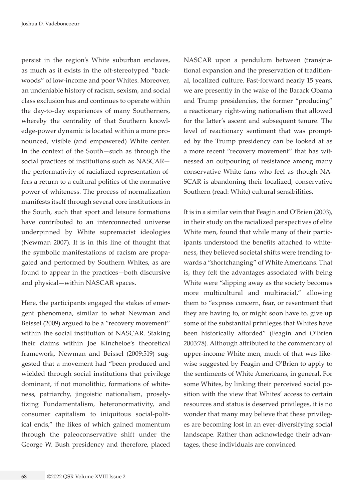persist in the region's White suburban enclaves, as much as it exists in the oft-stereotyped "backwoods" of low-income and poor Whites. Moreover, an undeniable history of racism, sexism, and social class exclusion has and continues to operate within the day-to-day experiences of many Southerners, whereby the centrality of that Southern knowledge-power dynamic is located within a more pronounced, visible (and empowered) White center. In the context of the South—such as through the social practices of institutions such as NASCAR the performativity of racialized representation offers a return to a cultural politics of the normative power of whiteness. The process of normalization manifests itself through several core institutions in the South, such that sport and leisure formations have contributed to an interconnected universe underpinned by White supremacist ideologies (Newman 2007). It is in this line of thought that the symbolic manifestations of racism are propagated and performed by Southern Whites, as are found to appear in the practices—both discursive and physical—within NASCAR spaces.

Here, the participants engaged the stakes of emergent phenomena, similar to what Newman and Beissel (2009) argued to be a "recovery movement" within the social institution of NASCAR. Staking their claims within Joe Kincheloe's theoretical framework, Newman and Beissel (2009:519) suggested that a movement had "been produced and wielded through social institutions that privilege dominant, if not monolithic, formations of whiteness, patriarchy, jingoistic nationalism, proselytizing Fundamentalism, heteronormativity, and consumer capitalism to iniquitous social-political ends," the likes of which gained momentum through the paleoconservative shift under the George W. Bush presidency and therefore, placed

NASCAR upon a pendulum between (trans)national expansion and the preservation of traditional, localized culture. Fast-forward nearly 15 years, we are presently in the wake of the Barack Obama and Trump presidencies, the former "producing" a reactionary right-wing nationalism that allowed for the latter's ascent and subsequent tenure. The level of reactionary sentiment that was prompted by the Trump presidency can be looked at as a more recent "recovery movement" that has witnessed an outpouring of resistance among many conservative White fans who feel as though NA-SCAR is abandoning their localized, conservative Southern (read: White) cultural sensibilities.

It is in a similar vein that Feagin and O'Brien (2003), in their study on the racialized perspectives of elite White men, found that while many of their participants understood the benefits attached to whiteness, they believed societal shifts were trending towards a "shortchanging" of White Americans. That is, they felt the advantages associated with being White were "slipping away as the society becomes more multicultural and multiracial," allowing them to "express concern, fear, or resentment that they are having to, or might soon have to, give up some of the substantial privileges that Whites have been historically afforded" (Feagin and O'Brien 2003:78). Although attributed to the commentary of upper-income White men, much of that was likewise suggested by Feagin and O'Brien to apply to the sentiments of White Americans, in general. For some Whites, by linking their perceived social position with the view that Whites' access to certain resources and status is deserved privileges, it is no wonder that many may believe that these privileges are becoming lost in an ever-diversifying social landscape. Rather than acknowledge their advantages, these individuals are convinced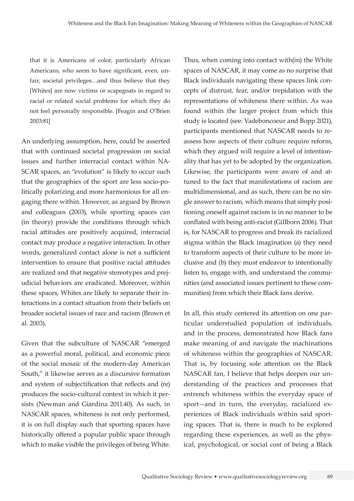that it is Americans of color, particularly African Americans, who seem to have significant, even, unfair, societal privileges…and thus believe that they [Whites] are now victims or scapegoats in regard to racial or related social problems for which they do not feel personally responsible. [Feagin and O'Brien 2003:81]

An underlying assumption, here, could be asserted that with continued societal progression on social issues and further interracial contact within NA-SCAR spaces, an "evolution" is likely to occur such that the geographies of the sport are less socio-politically polarizing and more harmonious for all engaging there within. However, as argued by Brown and colleagues (2003), while sporting spaces can (in theory) provide the conditions through which racial attitudes are positively acquired, interracial contact may produce a negative interaction. In other words, generalized contact alone is not a sufficient intervention to ensure that positive racial attitudes are realized and that negative stereotypes and prejudicial behaviors are eradicated. Moreover, within these spaces, Whites are likely to separate their interactions in a contact situation from their beliefs on broader societal issues of race and racism (Brown et al. 2003).

Given that the subculture of NASCAR "emerged as a powerful moral, political, and economic piece of the social mosaic of the modern-day American South," it likewise serves as a discursive formation and system of subjectification that reflects and (re) produces the socio-cultural context in which it persists (Newman and Giardina 2011:40). As such, in NASCAR spaces, whiteness is not only performed, it is on full display such that sporting spaces have historically offered a popular public space through which to make visible the privileges of being White.

Thus, when coming into contact with(in) the White spaces of NASCAR, it may come as no surprise that Black individuals navigating these spaces link concepts of distrust, fear, and/or trepidation with the representations of whiteness there within. As was found within the larger project from which this study is located (see: Vadeboncoeur and Bopp 2021), participants mentioned that NASCAR needs to reassess how aspects of their culture require reform, which they argued will require a level of intentionality that has yet to be adopted by the organization. Likewise, the participants were aware of and attuned to the fact that manifestations of racism are multidimensional, and as such, there can be no single answer to racism, which means that simply positioning oneself against racism is in no manner to be conflated with being anti-racist (Gillborn 2006). That is, for NASCAR to progress and break its racialized stigma within the Black imagination (a) they need to transform aspects of their culture to be more inclusive and (b) they must endeavor to intentionally listen to, engage with, and understand the communities (and associated issues pertinent to these communities) from which their Black fans derive.

In all, this study centered its attention on one particular understudied population of individuals, and in the process, demonstrated how Black fans make meaning of and navigate the machinations of whiteness within the geographies of NASCAR. That is, by focusing sole attention on the Black NASCAR fan, I believe that helps deepen our understanding of the practices and processes that entrench whiteness within the everyday space of sport—and in turn, the everyday, racialized experiences of Black individuals within said sporting spaces. That is, there is much to be explored regarding these experiences, as well as the physical, psychological, or social cost of being a Black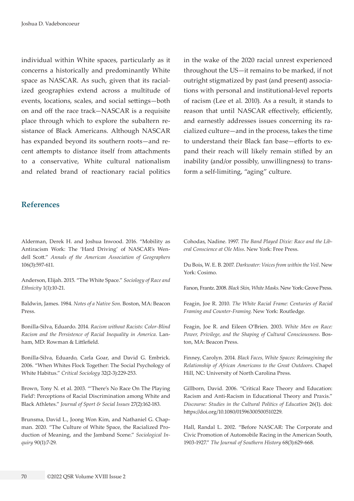individual within White spaces, particularly as it concerns a historically and predominantly White space as NASCAR. As such, given that its racialized geographies extend across a multitude of events, locations, scales, and social settings—both on and off the race track—NASCAR is a requisite place through which to explore the subaltern resistance of Black Americans. Although NASCAR has expanded beyond its southern roots—and recent attempts to distance itself from attachments to a conservative, White cultural nationalism and related brand of reactionary racial politics

in the wake of the 2020 racial unrest experienced throughout the US—it remains to be marked, if not outright stigmatized by past (and present) associations with personal and institutional-level reports of racism (Lee et al. 2010). As a result, it stands to reason that until NASCAR effectively, efficiently, and earnestly addresses issues concerning its racialized culture—and in the process, takes the time to understand their Black fan base—efforts to expand their reach will likely remain stifled by an inability (and/or possibly, unwillingness) to transform a self-limiting, "aging" culture.

#### **References**

Alderman, Derek H. and Joshua Inwood. 2016. "Mobility as Antiracism Work: The 'Hard Driving' of NASCAR's Wendell Scott." *Annals of the American Association of Geographers* 106(3):597-611.

Anderson, Elijah. 2015. "The White Space." *Sociology of Race and Ethnicity* 1(1):10-21.

Baldwin, James. 1984. *Notes of a Native Son*. Boston, MA: Beacon Press.

Bonilla-Silva, Eduardo. 2014. *Racism without Racists: Color-Blind Racism and the Persistence of Racial Inequality in America*. Lanham, MD: Rowman & Littlefield.

Bonilla-Silva, Eduardo, Carla Goar, and David G. Embrick. 2006. "When Whites Flock Together: The Social Psychology of White Habitus." *Critical Sociology* 32(2-3):229-253.

Brown, Tony N. et al. 2003. "'There's No Race On The Playing Field': Perceptions of Racial Discrimination among White and Black Athletes." *Journal of Sport & Social Issues* 27(2):162-183.

Brunsma, David L., Joong Won Kim, and Nathaniel G. Chapman. 2020. "The Culture of White Space, the Racialized Production of Meaning, and the Jamband Scene." *Sociological Inquiry* 90(1):7-29.

Cohodas, Nadine. 1997. *The Band Played Dixie: Race and the Liberal Conscience at Ole Miss*. New York: Free Press.

Du Bois, W. E. B. 2007. *Darkwater: Voices from within the Veil*. New York: Cosimo.

Fanon, Frantz. 2008. *Black Skin, White Masks*. New York: Grove Press.

Feagin, Joe R. 2010. *The White Racial Frame: Centuries of Racial Framing and Counter-Framing*. New York: Routledge.

Feagin, Joe R. and Eileen O'Brien. 2003. *White Men on Race: Power, Privilege, and the Shaping of Cultural Consciousness*. Boston, MA: Beacon Press.

Finney, Carolyn. 2014. *Black Faces, White Spaces: Reimagining the Relationship of African Americans to the Great Outdoors*. Chapel Hill, NC: University of North Carolina Press.

Gillborn, David. 2006. "Critical Race Theory and Education: Racism and Anti-Racism in Educational Theory and Praxis." *Discourse: Studies in the Cultural Politics of Education* 26(1). doi: <https://doi.org/10.1080/01596300500510229>.

Hall, Randal L. 2002. "Before NASCAR: The Corporate and Civic Promotion of Automobile Racing in the American South, 1903-1927." *The Journal of Southern History* 68(3):629-668.